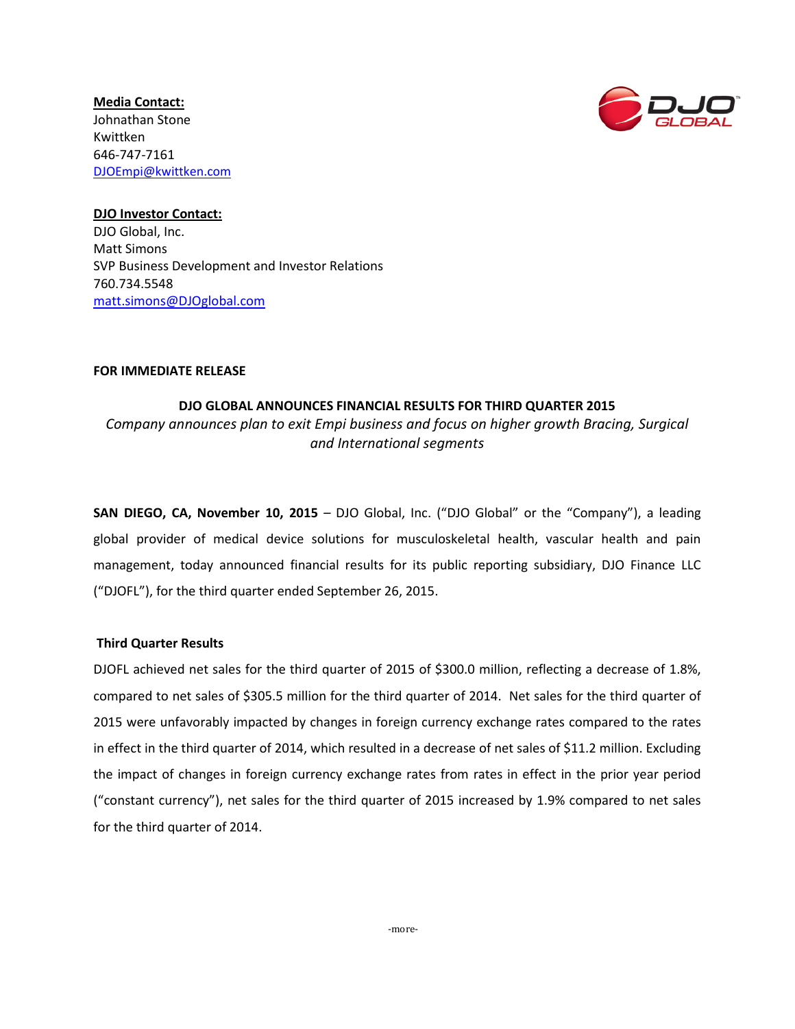**Media Contact:** Johnathan Stone Kwittken 646-747-7161 [DJOEmpi@kwittken.com](mailto:DJOEmpi@kwittken.com)



**DJO Investor Contact:** DJO Global, Inc. Matt Simons SVP Business Development and Investor Relations 760.734.5548 [matt.simons@DJOglobal.com](mailto:matt.simons@DJOglobal.com)

## **FOR IMMEDIATE RELEASE**

# **DJO GLOBAL ANNOUNCES FINANCIAL RESULTS FOR THIRD QUARTER 2015** *Company announces plan to exit Empi business and focus on higher growth Bracing, Surgical and International segments*

**SAN DIEGO, CA, November 10, 2015** *–* DJO Global, Inc. ("DJO Global" or the "Company"), a leading global provider of medical device solutions for musculoskeletal health, vascular health and pain management, today announced financial results for its public reporting subsidiary, DJO Finance LLC ("DJOFL"), for the third quarter ended September 26, 2015.

## **Third Quarter Results**

DJOFL achieved net sales for the third quarter of 2015 of \$300.0 million, reflecting a decrease of 1.8%, compared to net sales of \$305.5 million for the third quarter of 2014. Net sales for the third quarter of 2015 were unfavorably impacted by changes in foreign currency exchange rates compared to the rates in effect in the third quarter of 2014, which resulted in a decrease of net sales of \$11.2 million. Excluding the impact of changes in foreign currency exchange rates from rates in effect in the prior year period ("constant currency"), net sales for the third quarter of 2015 increased by 1.9% compared to net sales for the third quarter of 2014.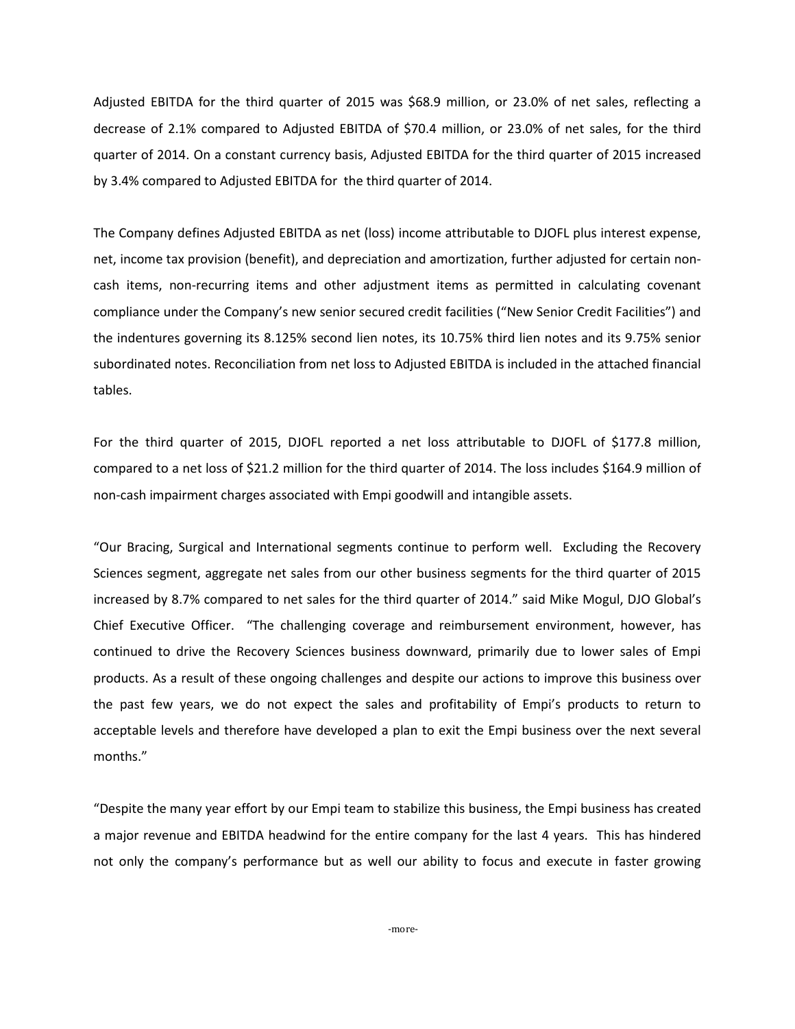Adjusted EBITDA for the third quarter of 2015 was \$68.9 million, or 23.0% of net sales, reflecting a decrease of 2.1% compared to Adjusted EBITDA of \$70.4 million, or 23.0% of net sales, for the third quarter of 2014. On a constant currency basis, Adjusted EBITDA for the third quarter of 2015 increased by 3.4% compared to Adjusted EBITDA for the third quarter of 2014.

The Company defines Adjusted EBITDA as net (loss) income attributable to DJOFL plus interest expense, net, income tax provision (benefit), and depreciation and amortization, further adjusted for certain noncash items, non-recurring items and other adjustment items as permitted in calculating covenant compliance under the Company's new senior secured credit facilities ("New Senior Credit Facilities") and the indentures governing its 8.125% second lien notes, its 10.75% third lien notes and its 9.75% senior subordinated notes. Reconciliation from net loss to Adjusted EBITDA is included in the attached financial tables.

For the third quarter of 2015, DJOFL reported a net loss attributable to DJOFL of \$177.8 million, compared to a net loss of \$21.2 million for the third quarter of 2014. The loss includes \$164.9 million of non-cash impairment charges associated with Empi goodwill and intangible assets.

"Our Bracing, Surgical and International segments continue to perform well. Excluding the Recovery Sciences segment, aggregate net sales from our other business segments for the third quarter of 2015 increased by 8.7% compared to net sales for the third quarter of 2014." said Mike Mogul, DJO Global's Chief Executive Officer. "The challenging coverage and reimbursement environment, however, has continued to drive the Recovery Sciences business downward, primarily due to lower sales of Empi products. As a result of these ongoing challenges and despite our actions to improve this business over the past few years, we do not expect the sales and profitability of Empi's products to return to acceptable levels and therefore have developed a plan to exit the Empi business over the next several months."

"Despite the many year effort by our Empi team to stabilize this business, the Empi business has created a major revenue and EBITDA headwind for the entire company for the last 4 years. This has hindered not only the company's performance but as well our ability to focus and execute in faster growing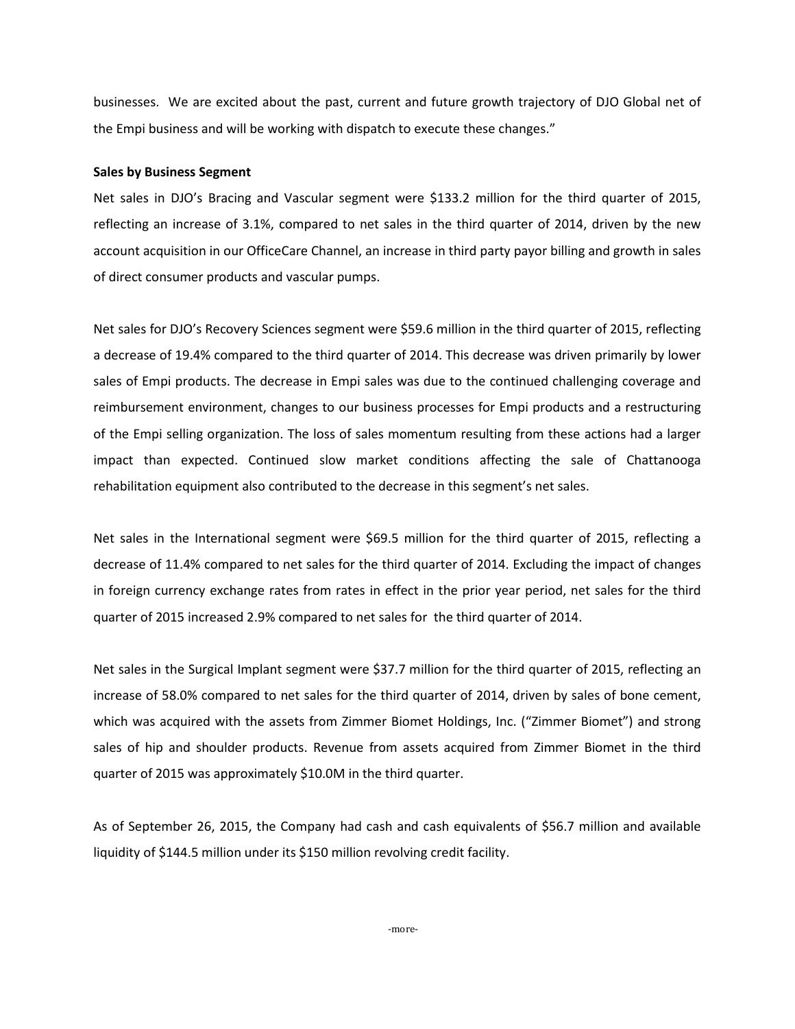businesses. We are excited about the past, current and future growth trajectory of DJO Global net of the Empi business and will be working with dispatch to execute these changes."

## **Sales by Business Segment**

Net sales in DJO's Bracing and Vascular segment were \$133.2 million for the third quarter of 2015, reflecting an increase of 3.1%, compared to net sales in the third quarter of 2014, driven by the new account acquisition in our OfficeCare Channel, an increase in third party payor billing and growth in sales of direct consumer products and vascular pumps.

Net sales for DJO's Recovery Sciences segment were \$59.6 million in the third quarter of 2015, reflecting a decrease of 19.4% compared to the third quarter of 2014. This decrease was driven primarily by lower sales of Empi products. The decrease in Empi sales was due to the continued challenging coverage and reimbursement environment, changes to our business processes for Empi products and a restructuring of the Empi selling organization. The loss of sales momentum resulting from these actions had a larger impact than expected. Continued slow market conditions affecting the sale of Chattanooga rehabilitation equipment also contributed to the decrease in this segment's net sales.

Net sales in the International segment were \$69.5 million for the third quarter of 2015, reflecting a decrease of 11.4% compared to net sales for the third quarter of 2014. Excluding the impact of changes in foreign currency exchange rates from rates in effect in the prior year period, net sales for the third quarter of 2015 increased 2.9% compared to net sales for the third quarter of 2014.

Net sales in the Surgical Implant segment were \$37.7 million for the third quarter of 2015, reflecting an increase of 58.0% compared to net sales for the third quarter of 2014, driven by sales of bone cement, which was acquired with the assets from Zimmer Biomet Holdings, Inc. ("Zimmer Biomet") and strong sales of hip and shoulder products. Revenue from assets acquired from Zimmer Biomet in the third quarter of 2015 was approximately \$10.0M in the third quarter.

As of September 26, 2015, the Company had cash and cash equivalents of \$56.7 million and available liquidity of \$144.5 million under its \$150 million revolving credit facility.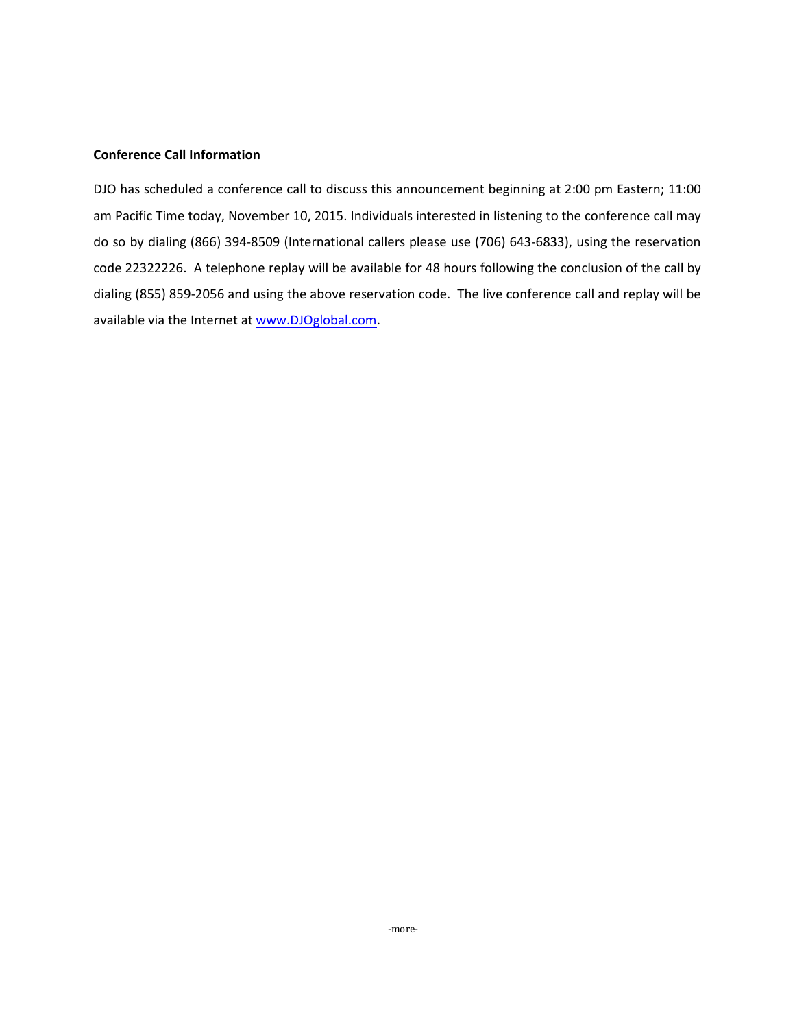## **Conference Call Information**

DJO has scheduled a conference call to discuss this announcement beginning at 2:00 pm Eastern; 11:00 am Pacific Time today, November 10, 2015. Individuals interested in listening to the conference call may do so by dialing (866) 394-8509 (International callers please use (706) 643-6833), using the reservation code 22322226. A telephone replay will be available for 48 hours following the conclusion of the call by dialing (855) 859-2056 and using the above reservation code. The live conference call and replay will be available via the Internet at [www.DJOglobal.com.](http://www.djoglobal.com/)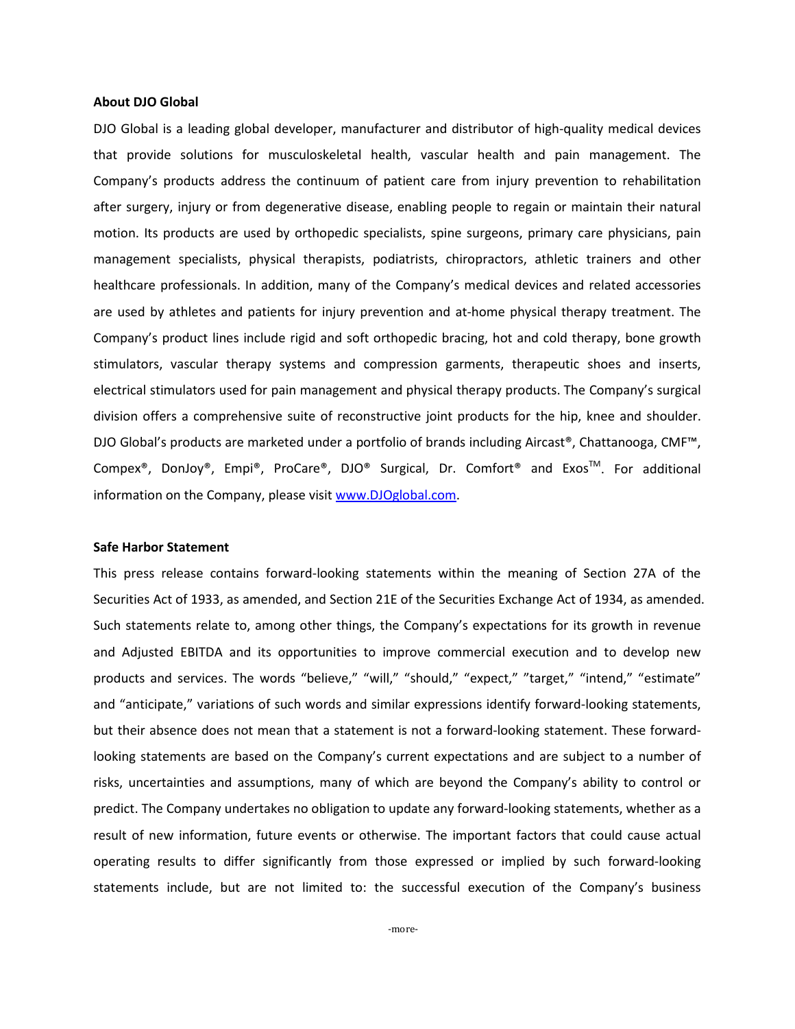#### **About DJO Global**

DJO Global is a leading global developer, manufacturer and distributor of high-quality medical devices that provide solutions for musculoskeletal health, vascular health and pain management. The Company's products address the continuum of patient care from injury prevention to rehabilitation after surgery, injury or from degenerative disease, enabling people to regain or maintain their natural motion. Its products are used by orthopedic specialists, spine surgeons, primary care physicians, pain management specialists, physical therapists, podiatrists, chiropractors, athletic trainers and other healthcare professionals. In addition, many of the Company's medical devices and related accessories are used by athletes and patients for injury prevention and at-home physical therapy treatment. The Company's product lines include rigid and soft orthopedic bracing, hot and cold therapy, bone growth stimulators, vascular therapy systems and compression garments, therapeutic shoes and inserts, electrical stimulators used for pain management and physical therapy products. The Company's surgical division offers a comprehensive suite of reconstructive joint products for the hip, knee and shoulder. DJO Global's products are marketed under a portfolio of brands including Aircast®, Chattanooga, CMF™, Compex®, DonJoy®, Empi®, ProCare®, DJO® Surgical, Dr. Comfort® and Exos™. For additional information on the Company, please visi[t www.DJOglobal.com.](http://www.djoglobal.com/)

#### **Safe Harbor Statement**

This press release contains forward-looking statements within the meaning of Section 27A of the Securities Act of 1933, as amended, and Section 21E of the Securities Exchange Act of 1934, as amended. Such statements relate to, among other things, the Company's expectations for its growth in revenue and Adjusted EBITDA and its opportunities to improve commercial execution and to develop new products and services. The words "believe," "will," "should," "expect," "target," "intend," "estimate" and "anticipate," variations of such words and similar expressions identify forward-looking statements, but their absence does not mean that a statement is not a forward-looking statement. These forwardlooking statements are based on the Company's current expectations and are subject to a number of risks, uncertainties and assumptions, many of which are beyond the Company's ability to control or predict. The Company undertakes no obligation to update any forward-looking statements, whether as a result of new information, future events or otherwise. The important factors that could cause actual operating results to differ significantly from those expressed or implied by such forward-looking statements include, but are not limited to: the successful execution of the Company's business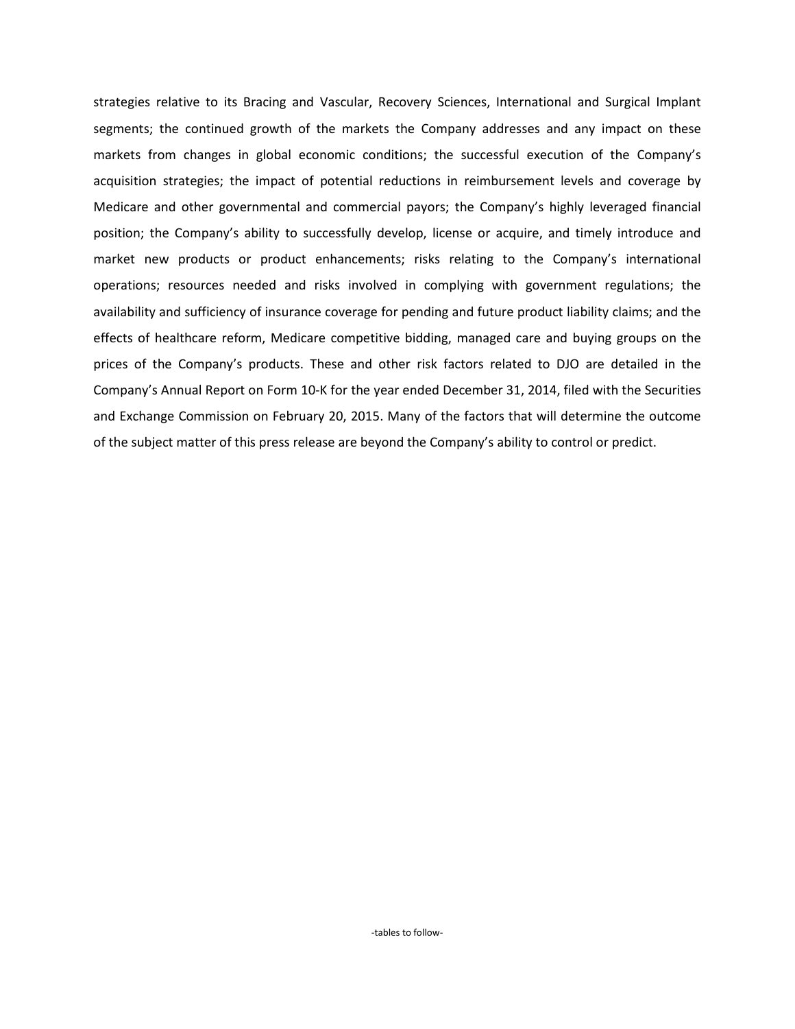strategies relative to its Bracing and Vascular, Recovery Sciences, International and Surgical Implant segments; the continued growth of the markets the Company addresses and any impact on these markets from changes in global economic conditions; the successful execution of the Company's acquisition strategies; the impact of potential reductions in reimbursement levels and coverage by Medicare and other governmental and commercial payors; the Company's highly leveraged financial position; the Company's ability to successfully develop, license or acquire, and timely introduce and market new products or product enhancements; risks relating to the Company's international operations; resources needed and risks involved in complying with government regulations; the availability and sufficiency of insurance coverage for pending and future product liability claims; and the effects of healthcare reform, Medicare competitive bidding, managed care and buying groups on the prices of the Company's products. These and other risk factors related to DJO are detailed in the Company's Annual Report on Form 10-K for the year ended December 31, 2014, filed with the Securities and Exchange Commission on February 20, 2015. Many of the factors that will determine the outcome of the subject matter of this press release are beyond the Company's ability to control or predict.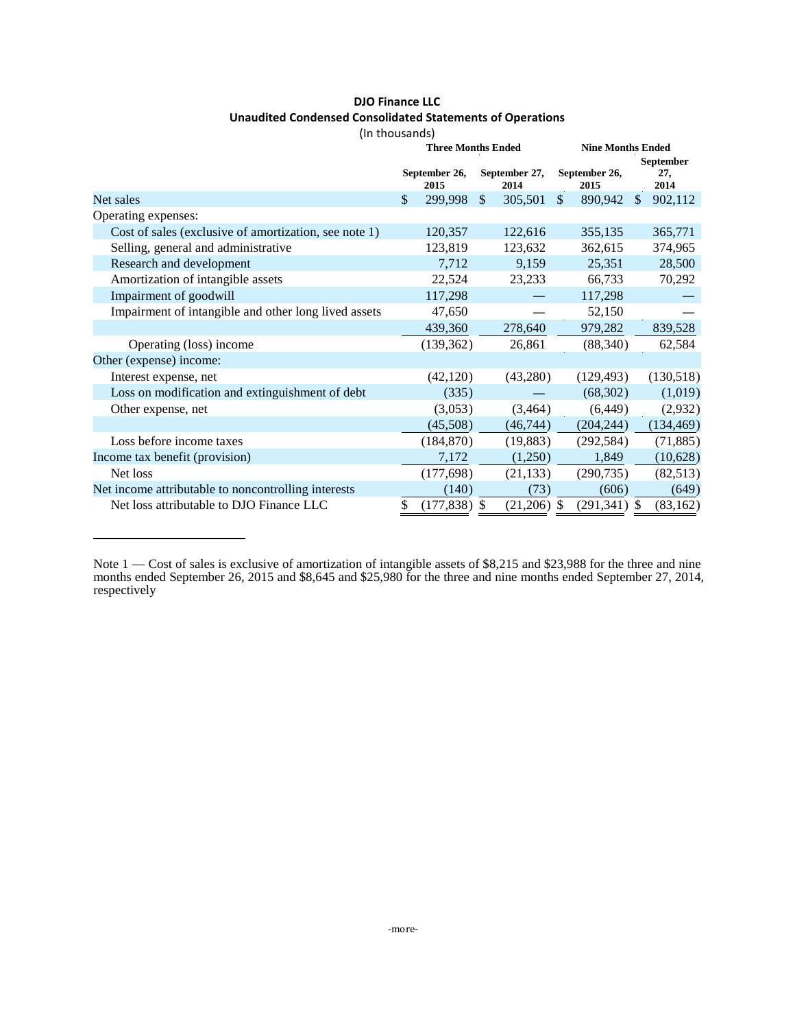# **DJO Finance LLC Unaudited Condensed Consolidated Statements of Operations**

## (In thousands)

|                                                       | <b>Three Months Ended</b> |                          |  |                       |               | <b>Nine Months Ended</b> |               |                                 |  |  |  |  |
|-------------------------------------------------------|---------------------------|--------------------------|--|-----------------------|---------------|--------------------------|---------------|---------------------------------|--|--|--|--|
|                                                       |                           | September 26,<br>2015    |  | September 27,<br>2014 |               | September 26,<br>2015    |               | <b>September</b><br>27,<br>2014 |  |  |  |  |
| Net sales                                             | \$                        | $\mathcal{S}$<br>299,998 |  | 305,501               | $\mathcal{S}$ | 890,942                  | <sup>\$</sup> | 902,112                         |  |  |  |  |
| Operating expenses:                                   |                           |                          |  |                       |               |                          |               |                                 |  |  |  |  |
| Cost of sales (exclusive of amortization, see note 1) |                           | 120,357                  |  | 122,616               |               | 355,135                  |               | 365,771                         |  |  |  |  |
| Selling, general and administrative                   |                           | 123,819                  |  | 123,632               |               | 362,615                  |               | 374,965                         |  |  |  |  |
| Research and development                              |                           | 7,712                    |  | 9,159                 |               | 25,351                   |               | 28,500                          |  |  |  |  |
| Amortization of intangible assets                     |                           | 22,524                   |  | 23,233                |               | 66,733                   |               | 70,292                          |  |  |  |  |
| Impairment of goodwill                                |                           | 117,298                  |  |                       |               | 117,298                  |               |                                 |  |  |  |  |
| Impairment of intangible and other long lived assets  |                           | 47,650                   |  |                       |               | 52,150                   |               |                                 |  |  |  |  |
|                                                       |                           | 439,360                  |  | 278,640               |               | 979,282                  |               | 839,528                         |  |  |  |  |
| Operating (loss) income                               |                           | (139, 362)               |  | 26,861                |               | (88, 340)                |               | 62,584                          |  |  |  |  |
| Other (expense) income:                               |                           |                          |  |                       |               |                          |               |                                 |  |  |  |  |
| Interest expense, net                                 |                           | (42,120)                 |  | (43,280)              |               | (129, 493)               |               | (130,518)                       |  |  |  |  |
| Loss on modification and extinguishment of debt       |                           | (335)                    |  |                       |               | (68, 302)                |               | (1,019)                         |  |  |  |  |
| Other expense, net                                    |                           | (3,053)                  |  | (3,464)               |               | (6, 449)                 |               | (2,932)                         |  |  |  |  |
|                                                       |                           | (45,508)                 |  | (46,744)              |               | (204, 244)               |               | (134, 469)                      |  |  |  |  |
| Loss before income taxes                              |                           | (184, 870)               |  | (19, 883)             |               | (292, 584)               |               | (71, 885)                       |  |  |  |  |
| Income tax benefit (provision)                        |                           | 7,172                    |  | (1,250)               |               | 1,849                    |               | (10,628)                        |  |  |  |  |
| Net loss                                              |                           | (177, 698)               |  | (21, 133)             |               | (290, 735)               |               | (82,513)                        |  |  |  |  |
| Net income attributable to noncontrolling interests   |                           | (140)                    |  | (73)                  |               | (606)                    |               | (649)                           |  |  |  |  |
| Net loss attributable to DJO Finance LLC              | \$                        | $(177, 838)$ \$          |  | (21,206)              | -S            | (291, 341)               | \$            | (83, 162)                       |  |  |  |  |

Note 1 — Cost of sales is exclusive of amortization of intangible assets of \$8,215 and \$23,988 for the three and nine months ended September 26, 2015 and \$8,645 and \$25,980 for the three and nine months ended September 27, 2014, respectively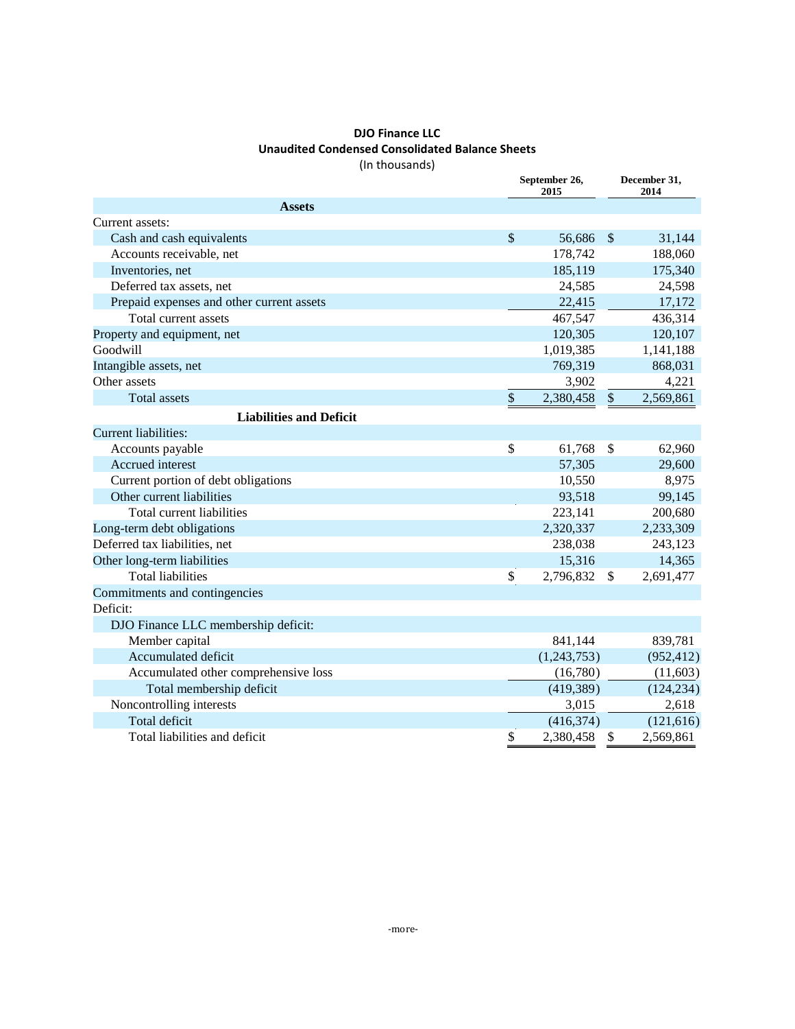## **DJO Finance LLC Unaudited Condensed Consolidated Balance Sheets** (In thousands)

**September 26, 2015 December 31, 2014 Assets** Current assets: Cash and cash equivalents  $\frac{1}{2}$   $\frac{1}{4}$   $\frac{1}{4}$   $\frac{31,144}{4}$ Accounts receivable, net 178,742 188,060 **Inventories, net** 185,119 175,340 Deferred tax assets, net 24,585 24,598 Prepaid expenses and other current assets 22,415 17,172 Total current assets 467,547 436,314 Property and equipment, net 120,305 120,107 Goodwill 1,019,385 1,141,188 Intangible assets, net 769,319 868,031 Other assets 3,902 4,221 Total assets  $\frac{1}{2}$  2,380,458 \$ 2,569,861 **Liabilities and Deficit** Current liabilities: Accounts payable  $$ 61,768 \text{ } $ 62,960$ Accrued interest 29,600 and 29,600 and 29,600 and 29,600 and 29,600 and 29,600 and 29,600 and 29,600 and 29,600 and 29,600 and 29,600 and 29,600 and 29,600 and 29,600 and 20,600 and 20,600 and 20,600 and 20,600 and 20,600 Current portion of debt obligations 10,550 8,975 Other current liabilities 93,518 99,145 Total current liabilities 223,141 200,680 Long-term debt obligations 2,320,337 2,233,309 Deferred tax liabilities, net 238,038 243,123 Other long-term liabilities 15,316 14,365 Total liabilities  $$ 2,796,832 \text{ } $ 2,691,477$ Commitments and contingencies Deficit: DJO Finance LLC membership deficit: Member capital 841,144 839,781 Accumulated deficit (1,243,753) (952,412) Accumulated other comprehensive loss (16,780) (11,603) Total membership deficit (419,389) (124,234) Noncontrolling interests 3,015 2,618  $Total deficit$  (121,616) (121,616) Total liabilities and deficit  $\qquad \qquad$  8 2,380,458 \$ 2,569,861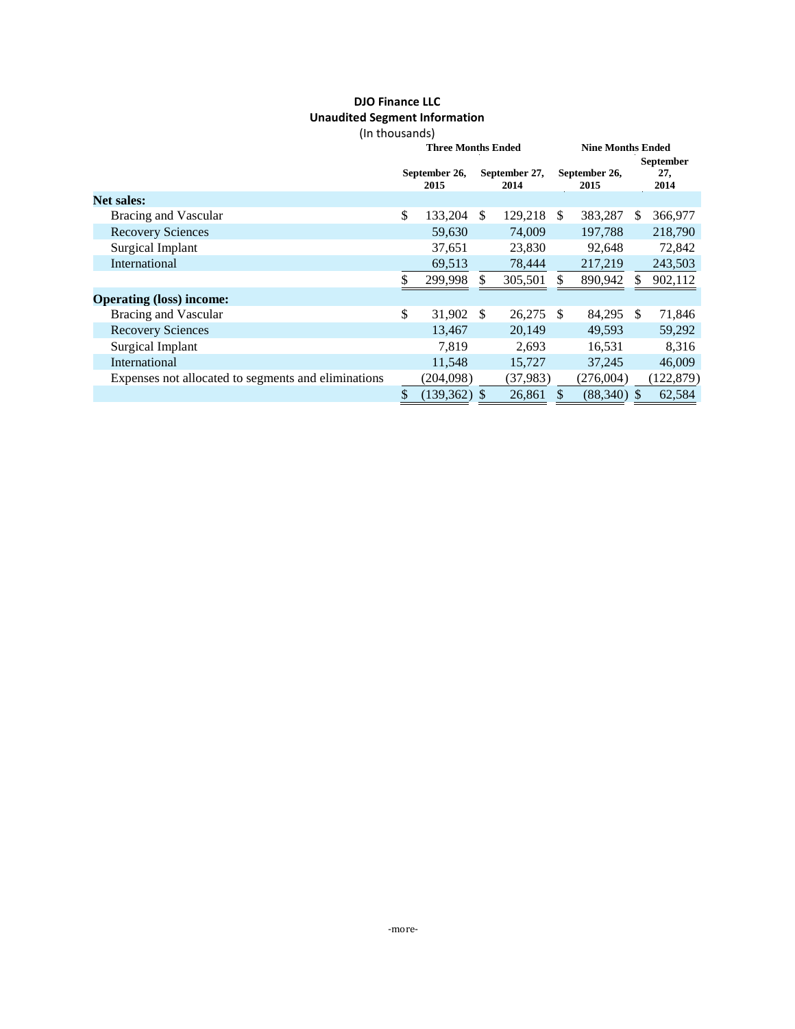# **DJO Finance LLC Unaudited Segment Information**

| (In thousands) |  |
|----------------|--|
|                |  |

| uu uuuusuuus                                        |                           |               |                       |               |                          |     |                                 |
|-----------------------------------------------------|---------------------------|---------------|-----------------------|---------------|--------------------------|-----|---------------------------------|
|                                                     | <b>Three Months Ended</b> |               |                       |               | <b>Nine Months Ended</b> |     |                                 |
|                                                     | September 26,<br>2015     |               | September 27,<br>2014 |               | September 26,<br>2015    |     | <b>September</b><br>27,<br>2014 |
| <b>Net sales:</b>                                   |                           |               |                       |               |                          |     |                                 |
| Bracing and Vascular                                | \$<br>133,204             | <sup>\$</sup> | 129,218               | <sup>\$</sup> | 383,287                  | \$  | 366,977                         |
| <b>Recovery Sciences</b>                            | 59,630                    |               | 74,009                |               | 197,788                  |     | 218,790                         |
| <b>Surgical Implant</b>                             | 37,651                    |               | 23,830                |               | 92,648                   |     | 72,842                          |
| <b>International</b>                                | 69,513                    |               | 78,444                |               | 217,219                  |     | 243,503                         |
|                                                     | \$<br>299,998             | \$            | 305,501               |               | 890,942                  | \$  | 902,112                         |
| <b>Operating (loss) income:</b>                     |                           |               |                       |               |                          |     |                                 |
| Bracing and Vascular                                | \$<br>31,902 \$           |               | 26,275                | <sup>\$</sup> | 84,295                   | \$. | 71,846                          |
| <b>Recovery Sciences</b>                            | 13,467                    |               | 20,149                |               | 49,593                   |     | 59,292                          |
| Surgical Implant                                    | 7,819                     |               | 2,693                 |               | 16,531                   |     | 8,316                           |
| International                                       | 11,548                    |               | 15,727                |               | 37,245                   |     | 46,009                          |
| Expenses not allocated to segments and eliminations | (204,098)                 |               | (37,983)              |               | (276,004)                |     | (122, 879)                      |
|                                                     | \$<br>(139, 362)          | \$.           | 26,861                |               | (88,340)                 |     | 62,584                          |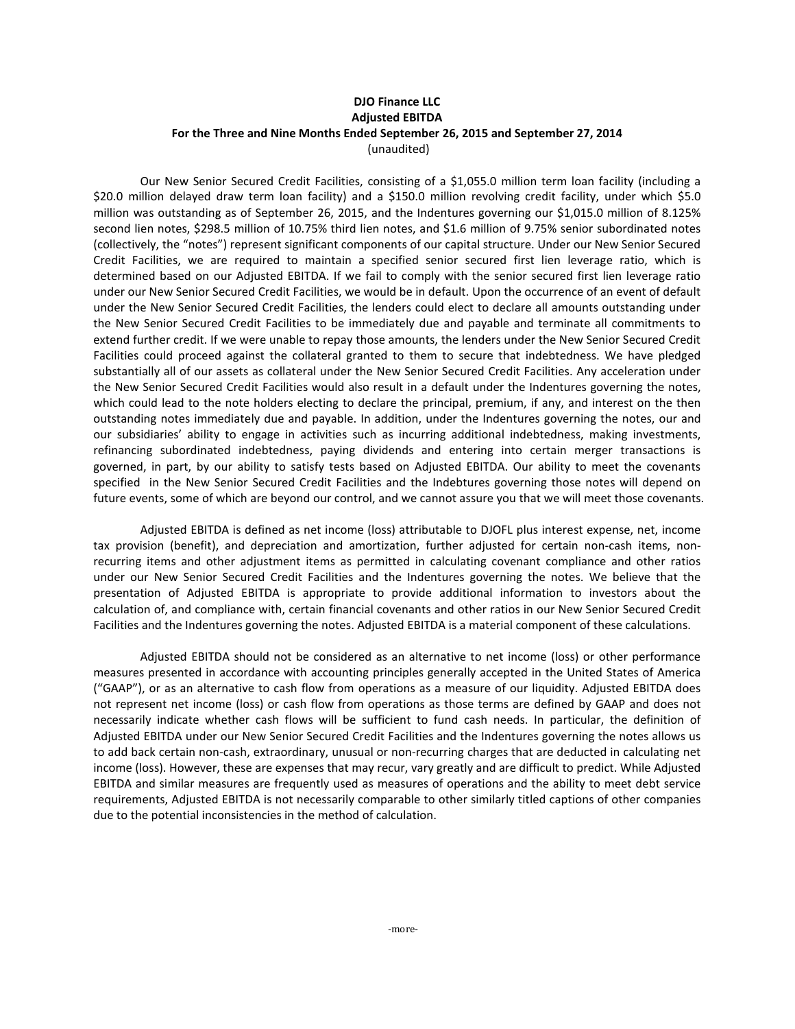## **DJO Finance LLC Adjusted EBITDA For the Three and Nine Months Ended September 26, 2015 and September 27, 2014** (unaudited)

Our New Senior Secured Credit Facilities, consisting of a \$1,055.0 million term loan facility (including a \$20.0 million delayed draw term loan facility) and a \$150.0 million revolving credit facility, under which \$5.0 million was outstanding as of September 26, 2015, and the Indentures governing our \$1,015.0 million of 8.125% second lien notes, \$298.5 million of 10.75% third lien notes, and \$1.6 million of 9.75% senior subordinated notes (collectively, the "notes") represent significant components of our capital structure. Under our New Senior Secured Credit Facilities, we are required to maintain a specified senior secured first lien leverage ratio, which is determined based on our Adjusted EBITDA. If we fail to comply with the senior secured first lien leverage ratio under our New Senior Secured Credit Facilities, we would be in default. Upon the occurrence of an event of default under the New Senior Secured Credit Facilities, the lenders could elect to declare all amounts outstanding under the New Senior Secured Credit Facilities to be immediately due and payable and terminate all commitments to extend further credit. If we were unable to repay those amounts, the lenders under the New Senior Secured Credit Facilities could proceed against the collateral granted to them to secure that indebtedness. We have pledged substantially all of our assets as collateral under the New Senior Secured Credit Facilities. Any acceleration under the New Senior Secured Credit Facilities would also result in a default under the Indentures governing the notes, which could lead to the note holders electing to declare the principal, premium, if any, and interest on the then outstanding notes immediately due and payable. In addition, under the Indentures governing the notes, our and our subsidiaries' ability to engage in activities such as incurring additional indebtedness, making investments, refinancing subordinated indebtedness, paying dividends and entering into certain merger transactions is governed, in part, by our ability to satisfy tests based on Adjusted EBITDA. Our ability to meet the covenants specified in the New Senior Secured Credit Facilities and the Indebtures governing those notes will depend on future events, some of which are beyond our control, and we cannot assure you that we will meet those covenants.

Adjusted EBITDA is defined as net income (loss) attributable to DJOFL plus interest expense, net, income tax provision (benefit), and depreciation and amortization, further adjusted for certain non-cash items, nonrecurring items and other adjustment items as permitted in calculating covenant compliance and other ratios under our New Senior Secured Credit Facilities and the Indentures governing the notes. We believe that the presentation of Adjusted EBITDA is appropriate to provide additional information to investors about the calculation of, and compliance with, certain financial covenants and other ratios in our New Senior Secured Credit Facilities and the Indentures governing the notes. Adjusted EBITDA is a material component of these calculations.

Adjusted EBITDA should not be considered as an alternative to net income (loss) or other performance measures presented in accordance with accounting principles generally accepted in the United States of America ("GAAP"), or as an alternative to cash flow from operations as a measure of our liquidity. Adjusted EBITDA does not represent net income (loss) or cash flow from operations as those terms are defined by GAAP and does not necessarily indicate whether cash flows will be sufficient to fund cash needs. In particular, the definition of Adjusted EBITDA under our New Senior Secured Credit Facilities and the Indentures governing the notes allows us to add back certain non-cash, extraordinary, unusual or non-recurring charges that are deducted in calculating net income (loss). However, these are expenses that may recur, vary greatly and are difficult to predict. While Adjusted EBITDA and similar measures are frequently used as measures of operations and the ability to meet debt service requirements, Adjusted EBITDA is not necessarily comparable to other similarly titled captions of other companies due to the potential inconsistencies in the method of calculation.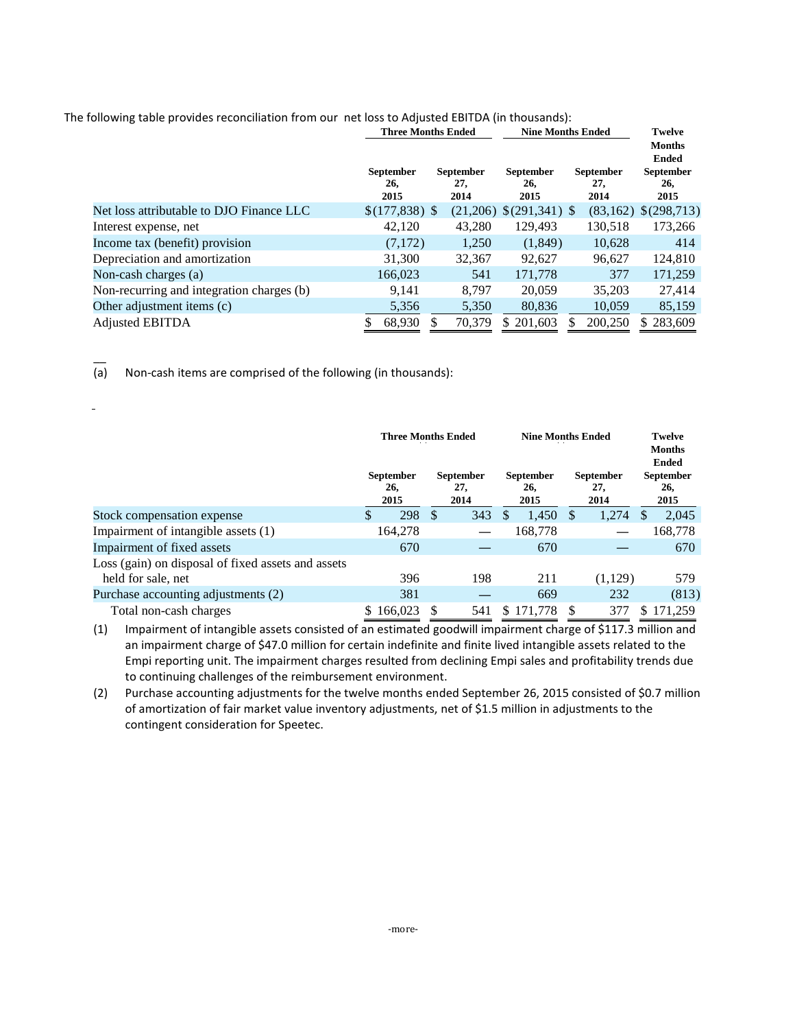|                                           | <b>Three Months Ended</b>       |                                 | <b>Nine Months Ended</b>        | <b>Twelve</b><br><b>Months</b><br><b>Ended</b> |                                 |
|-------------------------------------------|---------------------------------|---------------------------------|---------------------------------|------------------------------------------------|---------------------------------|
|                                           | <b>September</b><br>26,<br>2015 | <b>September</b><br>27,<br>2014 | <b>September</b><br>26,<br>2015 | <b>September</b><br>27,<br>2014                | <b>September</b><br>26,<br>2015 |
| Net loss attributable to DJO Finance LLC  | $$(177,838)$ \;                 | (21,206)                        | $$(291,341)$ \                  | (83,162)                                       | \$(298,713)                     |
| Interest expense, net                     | 42,120                          | 43,280                          | 129,493                         | 130,518                                        | 173,266                         |
| Income tax (benefit) provision            | (7,172)                         | 1,250                           | (1,849)                         | 10,628                                         | 414                             |
| Depreciation and amortization             | 31,300                          | 32,367                          | 92.627                          | 96,627                                         | 124,810                         |
| Non-cash charges (a)                      | 166,023                         | 541                             | 171,778                         | 377                                            | 171,259                         |
| Non-recurring and integration charges (b) | 9.141                           | 8.797                           | 20.059                          | 35,203                                         | 27,414                          |
| Other adjustment items (c)                | 5,356                           | 5,350                           | 80,836                          | 10.059                                         | 85,159                          |
| <b>Adjusted EBITDA</b>                    | \$<br>68,930                    | 70,379                          | \$201,603                       | 200,250                                        | \$283,609                       |

The following table provides reconciliation from our net loss to Adjusted EBITDA (in thousands):

(a) Non-cash items are comprised of the following (in thousands):

 $\overline{\phantom{0}}$ 

|                                                                          | <b>September</b><br>26,<br>2015 | <b>Three Months Ended</b><br>27, | <b>September</b><br>2014 |     | <b>September</b><br>26,<br>2015 | <b>Nine Months Ended</b><br><b>September</b><br>27,<br>2014 |         |   | <b>Twelve</b><br><b>Months</b><br><b>Ended</b><br><b>September</b><br>26,<br>2015 |  |
|--------------------------------------------------------------------------|---------------------------------|----------------------------------|--------------------------|-----|---------------------------------|-------------------------------------------------------------|---------|---|-----------------------------------------------------------------------------------|--|
| Stock compensation expense                                               | 298<br>\$                       | <sup>\$</sup>                    | 343                      | \$. | 1,450                           | \$.                                                         | 1,274   | S | 2,045                                                                             |  |
| Impairment of intangible assets (1)                                      | 164,278                         |                                  |                          |     | 168,778                         |                                                             |         |   | 168,778                                                                           |  |
| Impairment of fixed assets                                               | 670                             |                                  |                          |     | 670                             |                                                             |         |   | 670                                                                               |  |
| Loss (gain) on disposal of fixed assets and assets<br>held for sale, net | 396                             |                                  | 198                      |     | 211                             |                                                             | (1,129) |   | 579                                                                               |  |
| Purchase accounting adjustments (2)                                      | 381                             |                                  |                          |     | 669                             |                                                             | 232     |   | (813)                                                                             |  |
| Total non-cash charges                                                   | 166,023                         |                                  | 541                      | S.  | 171.778                         |                                                             | 377     | S | 171.259                                                                           |  |

(1) Impairment of intangible assets consisted of an estimated goodwill impairment charge of \$117.3 million and an impairment charge of \$47.0 million for certain indefinite and finite lived intangible assets related to the Empi reporting unit. The impairment charges resulted from declining Empi sales and profitability trends due to continuing challenges of the reimbursement environment.

(2) Purchase accounting adjustments for the twelve months ended September 26, 2015 consisted of \$0.7 million of amortization of fair market value inventory adjustments, net of \$1.5 million in adjustments to the contingent consideration for Speetec.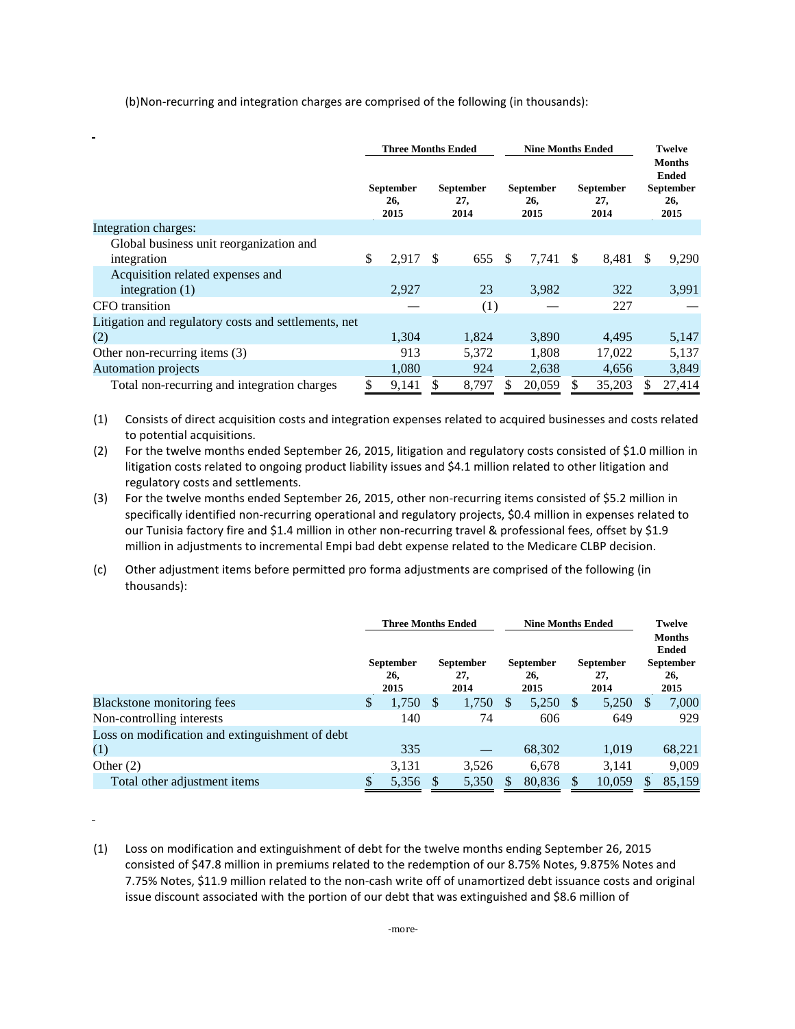(b)Non-recurring and integration charges are comprised of the following (in thousands):

|                                                        | <b>Three Months Ended</b> |                                 |    |                                 |     | <b>Nine Months Ended</b>        |    |                                 |   | <b>Twelve</b><br><b>Months</b><br><b>Ended</b> |  |  |
|--------------------------------------------------------|---------------------------|---------------------------------|----|---------------------------------|-----|---------------------------------|----|---------------------------------|---|------------------------------------------------|--|--|
|                                                        |                           | <b>September</b><br>26,<br>2015 |    | <b>September</b><br>27,<br>2014 |     | <b>September</b><br>26,<br>2015 |    | <b>September</b><br>27,<br>2014 |   | <b>September</b><br>26,<br>2015                |  |  |
| Integration charges:                                   |                           |                                 |    |                                 |     |                                 |    |                                 |   |                                                |  |  |
| Global business unit reorganization and<br>integration | \$                        | $2,917$ \$                      |    | 655                             | \$. | 7,741                           | -S | 8,481                           | S | 9,290                                          |  |  |
| Acquisition related expenses and                       |                           |                                 |    |                                 |     |                                 |    |                                 |   |                                                |  |  |
| integration $(1)$                                      |                           | 2,927                           |    | 23                              |     | 3,982                           |    | 322                             |   | 3,991                                          |  |  |
| <b>CFO</b> transition                                  |                           |                                 |    | (1)                             |     |                                 |    | 227                             |   |                                                |  |  |
| Litigation and regulatory costs and settlements, net   |                           |                                 |    |                                 |     |                                 |    |                                 |   |                                                |  |  |
| (2)                                                    |                           | 1.304                           |    | 1,824                           |     | 3,890                           |    | 4.495                           |   | 5,147                                          |  |  |
| Other non-recurring items (3)                          |                           | 913                             |    | 5,372                           |     | 1,808                           |    | 17,022                          |   | 5,137                                          |  |  |
| <b>Automation projects</b>                             |                           | 1,080                           |    | 924                             |     | 2,638                           |    | 4,656                           |   | 3,849                                          |  |  |
| Total non-recurring and integration charges            | \$                        | 9,141                           | \$ | 8,797                           | S   | 20,059                          | S  | 35,203                          | S | 27,414                                         |  |  |

(1) Consists of direct acquisition costs and integration expenses related to acquired businesses and costs related to potential acquisitions.

(2) For the twelve months ended September 26, 2015, litigation and regulatory costs consisted of \$1.0 million in litigation costs related to ongoing product liability issues and \$4.1 million related to other litigation and regulatory costs and settlements.

(3) For the twelve months ended September 26, 2015, other non-recurring items consisted of \$5.2 million in specifically identified non-recurring operational and regulatory projects, \$0.4 million in expenses related to our Tunisia factory fire and \$1.4 million in other non-recurring travel & professional fees, offset by \$1.9 million in adjustments to incremental Empi bad debt expense related to the Medicare CLBP decision.

(c) Other adjustment items before permitted pro forma adjustments are comprised of the following (in thousands):

|                                                 | <b>Three Months Ended</b>       |       |                                 |       |                                 | <b>Nine Months Ended</b> | <b>Twelve</b>                   |        |                                                                  |        |
|-------------------------------------------------|---------------------------------|-------|---------------------------------|-------|---------------------------------|--------------------------|---------------------------------|--------|------------------------------------------------------------------|--------|
|                                                 | <b>September</b><br>26,<br>2015 |       | <b>September</b><br>27,<br>2014 |       | <b>September</b><br>26,<br>2015 |                          | <b>September</b><br>27,<br>2014 |        | <b>Months</b><br><b>Ended</b><br><b>September</b><br>26,<br>2015 |        |
| Blackstone monitoring fees                      | <sup>\$</sup>                   | 1,750 | S                               | 1,750 | \$                              | 5,250                    | S                               | 5,250  | \$                                                               | 7,000  |
| Non-controlling interests                       |                                 | 140   |                                 | 74    |                                 | 606                      |                                 | 649    |                                                                  | 929    |
| Loss on modification and extinguishment of debt |                                 |       |                                 |       |                                 |                          |                                 |        |                                                                  |        |
| (1)                                             |                                 | 335   |                                 |       |                                 | 68,302                   |                                 | 1,019  |                                                                  | 68,221 |
| Other $(2)$                                     |                                 | 3,131 |                                 | 3,526 |                                 | 6.678                    |                                 | 3,141  |                                                                  | 9,009  |
| Total other adjustment items                    |                                 | 5,356 | S                               | 5,350 |                                 | 80,836                   |                                 | 10.059 |                                                                  | 85.159 |

<sup>(1)</sup> Loss on modification and extinguishment of debt for the twelve months ending September 26, 2015 consisted of \$47.8 million in premiums related to the redemption of our 8.75% Notes, 9.875% Notes and 7.75% Notes, \$11.9 million related to the non-cash write off of unamortized debt issuance costs and original issue discount associated with the portion of our debt that was extinguished and \$8.6 million of